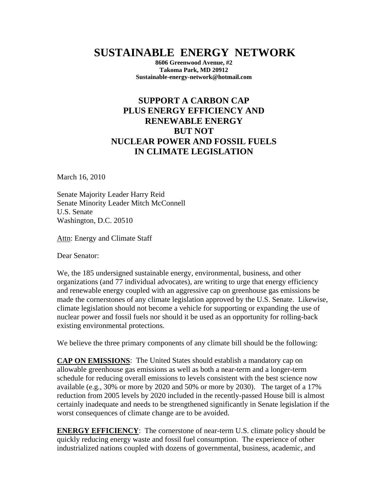## **SUSTAINABLE ENERGY NETWORK**

**8606 Greenwood Avenue, #2 Takoma Park, MD 20912 Sustainable-energy-network@hotmail.com**

## **SUPPORT A CARBON CAP PLUS ENERGY EFFICIENCY AND RENEWABLE ENERGY BUT NOT NUCLEAR POWER AND FOSSIL FUELS IN CLIMATE LEGISLATION**

March 16, 2010

Senate Majority Leader Harry Reid Senate Minority Leader Mitch McConnell U.S. Senate Washington, D.C. 20510

Attn: Energy and Climate Staff

Dear Senator:

We, the 185 undersigned sustainable energy, environmental, business, and other organizations (and 77 individual advocates), are writing to urge that energy efficiency and renewable energy coupled with an aggressive cap on greenhouse gas emissions be made the cornerstones of any climate legislation approved by the U.S. Senate. Likewise, climate legislation should not become a vehicle for supporting or expanding the use of nuclear power and fossil fuels nor should it be used as an opportunity for rolling-back existing environmental protections.

We believe the three primary components of any climate bill should be the following:

**CAP ON EMISSIONS**: The United States should establish a mandatory cap on allowable greenhouse gas emissions as well as both a near-term and a longer-term schedule for reducing overall emissions to levels consistent with the best science now available (e.g., 30% or more by 2020 and 50% or more by 2030). The target of a 17% reduction from 2005 levels by 2020 included in the recently-passed House bill is almost certainly inadequate and needs to be strengthened significantly in Senate legislation if the worst consequences of climate change are to be avoided.

**ENERGY EFFICIENCY**: The cornerstone of near-term U.S. climate policy should be quickly reducing energy waste and fossil fuel consumption. The experience of other industrialized nations coupled with dozens of governmental, business, academic, and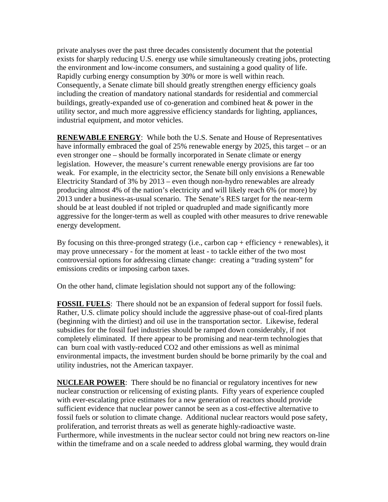private analyses over the past three decades consistently document that the potential exists for sharply reducing U.S. energy use while simultaneously creating jobs, protecting the environment and low-income consumers, and sustaining a good quality of life. Rapidly curbing energy consumption by 30% or more is well within reach. Consequently, a Senate climate bill should greatly strengthen energy efficiency goals including the creation of mandatory national standards for residential and commercial buildings, greatly-expanded use of co-generation and combined heat & power in the utility sector, and much more aggressive efficiency standards for lighting, appliances, industrial equipment, and motor vehicles.

**RENEWABLE ENERGY:** While both the U.S. Senate and House of Representatives have informally embraced the goal of 25% renewable energy by 2025, this target – or an even stronger one – should be formally incorporated in Senate climate or energy legislation. However, the measure's current renewable energy provisions are far too weak. For example, in the electricity sector, the Senate bill only envisions a Renewable Electricity Standard of 3% by 2013 – even though non-hydro renewables are already producing almost 4% of the nation's electricity and will likely reach 6% (or more) by 2013 under a business-as-usual scenario. The Senate's RES target for the near-term should be at least doubled if not tripled or quadrupled and made significantly more aggressive for the longer-term as well as coupled with other measures to drive renewable energy development.

By focusing on this three-pronged strategy (i.e., carbon cap + efficiency + renewables), it may prove unnecessary - for the moment at least - to tackle either of the two most controversial options for addressing climate change: creating a "trading system" for emissions credits or imposing carbon taxes.

On the other hand, climate legislation should not support any of the following:

**FOSSIL FUELS:** There should not be an expansion of federal support for fossil fuels. Rather, U.S. climate policy should include the aggressive phase-out of coal-fired plants (beginning with the dirtiest) and oil use in the transportation sector. Likewise, federal subsidies for the fossil fuel industries should be ramped down considerably, if not completely eliminated. If there appear to be promising and near-term technologies that can burn coal with vastly-reduced CO2 and other emissions as well as minimal environmental impacts, the investment burden should be borne primarily by the coal and utility industries, not the American taxpayer.

**NUCLEAR POWER**: There should be no financial or regulatory incentives for new nuclear construction or relicensing of existing plants. Fifty years of experience coupled with ever-escalating price estimates for a new generation of reactors should provide sufficient evidence that nuclear power cannot be seen as a cost-effective alternative to fossil fuels or solution to climate change. Additional nuclear reactors would pose safety, proliferation, and terrorist threats as well as generate highly-radioactive waste. Furthermore, while investments in the nuclear sector could not bring new reactors on-line within the timeframe and on a scale needed to address global warming, they would drain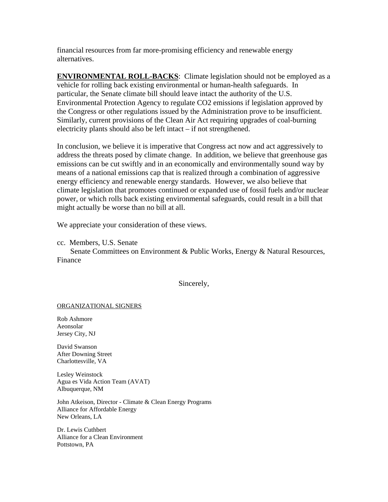financial resources from far more-promising efficiency and renewable energy alternatives.

**ENVIRONMENTAL ROLL-BACKS:** Climate legislation should not be employed as a vehicle for rolling back existing environmental or human-health safeguards. In particular, the Senate climate bill should leave intact the authority of the U.S. Environmental Protection Agency to regulate CO2 emissions if legislation approved by the Congress or other regulations issued by the Administration prove to be insufficient. Similarly, current provisions of the Clean Air Act requiring upgrades of coal-burning electricity plants should also be left intact – if not strengthened.

In conclusion, we believe it is imperative that Congress act now and act aggressively to address the threats posed by climate change. In addition, we believe that greenhouse gas emissions can be cut swiftly and in an economically and environmentally sound way by means of a national emissions cap that is realized through a combination of aggressive energy efficiency and renewable energy standards. However, we also believe that climate legislation that promotes continued or expanded use of fossil fuels and/or nuclear power, or which rolls back existing environmental safeguards, could result in a bill that might actually be worse than no bill at all.

We appreciate your consideration of these views.

cc. Members, U.S. Senate

 Senate Committees on Environment & Public Works, Energy & Natural Resources, Finance

Sincerely,

## ORGANIZATIONAL SIGNERS

Rob Ashmore Aeonsolar Jersey City, NJ

David Swanson After Downing Street Charlottesville, VA

Lesley Weinstock Agua es Vida Action Team (AVAT) Albuquerque, NM

John Atkeison, Director - Climate & Clean Energy Programs Alliance for Affordable Energy New Orleans, LA

Dr. Lewis Cuthbert Alliance for a Clean Environment Pottstown, PA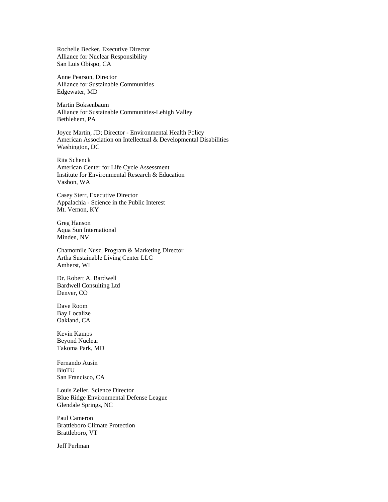Rochelle Becker, Executive Director Alliance for Nuclear Responsibility San Luis Obispo, CA

Anne Pearson, Director Alliance for Sustainable Communities Edgewater, MD

Martin Boksenbaum Alliance for Sustainable Communities-Lehigh Valley Bethlehem, PA

Joyce Martin, JD; Director - Environmental Health Policy American Association on Intellectual & Developmental Disabilities Washington, DC

Rita Schenck American Center for Life Cycle Assessment Institute for Environmental Research & Education Vashon, WA

Casey Sterr, Executive Director Appalachia - Science in the Public Interest Mt. Vernon, KY

Greg Hanson Aqua Sun International Minden, NV

Chamomile Nusz, Program & Marketing Director Artha Sustainable Living Center LLC Amherst, WI

Dr. Robert A. Bardwell Bardwell Consulting Ltd Denver, CO

Dave Room Bay Localize Oakland, CA

Kevin Kamps Beyond Nuclear Takoma Park, MD

Fernando Ausin BioTU San Francisco, CA

Louis Zeller, Science Director Blue Ridge Environmental Defense League Glendale Springs, NC

Paul Cameron Brattleboro Climate Protection Brattleboro, VT

Jeff Perlman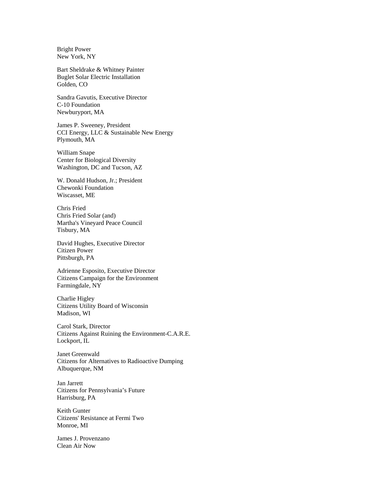Bright Power New York, NY

Bart Sheldrake & Whitney Painter Buglet Solar Electric Installation Golden, CO

Sandra Gavutis, Executive Director C-10 Foundation Newburyport, MA

James P. Sweeney, President CCI Energy, LLC & Sustainable New Energy Plymouth, MA

William Snape Center for Biological Diversity Washington, DC and Tucson, AZ

W. Donald Hudson, Jr.; President Chewonki Foundation Wiscasset, ME

Chris Fried Chris Fried Solar (and) Martha's Vineyard Peace Council Tisbury, MA

David Hughes, Executive Director Citizen Power Pittsburgh, PA

Adrienne Esposito, Executive Director Citizens Campaign for the Environment Farmingdale, NY

Charlie Higley Citizens Utility Board of Wisconsin Madison, WI

Carol Stark, Director Citizens Against Ruining the Environment-C.A.R.E. Lockport, IL

Janet Greenwald Citizens for Alternatives to Radioactive Dumping Albuquerque, NM

Jan Jarrett Citizens for Pennsylvania's Future Harrisburg, PA

Keith Gunter Citizens' Resistance at Fermi Two Monroe, MI

James J. Provenzano Clean Air Now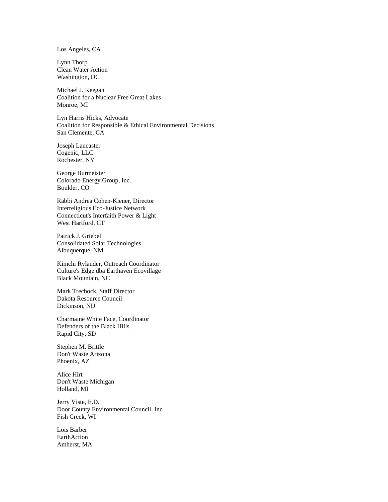Los Angeles, CA

Lynn Thorp Clean Water Action Washington, DC

Michael J. Keegan Coalition for a Nuclear Free Great Lakes Monroe, MI

Lyn Harris Hicks, Advocate Coalition for Responsible & Ethical Environmental Decisions San Clemente, CA

Joseph Lancaster Cogenic, LLC Rochester, NY

George Burmeister Colorado Energy Group, Inc. Boulder, CO

Rabbi Andrea Cohen-Kiener, Director Interreligious Eco-Justice Network Connecticut's Interfaith Power & Light West Hartford, CT

Patrick J. Griebel Consolidated Solar Technologies Albuquerque, NM

Kimchi Rylander, Outreach Coordinator Culture's Edge dba Earthaven Ecovillage Black Mountain, NC

Mark Trechock, Staff Director Dakota Resource Council Dickinson, ND

Charmaine White Face, Coordinator Defenders of the Black Hills Rapid City, SD

Stephen M. Brittle Don't Waste Arizona Phoenix, AZ

Alice Hirt Don't Waste Michigan Holland, MI

Jerry Viste, E.D. Door County Environmental Council, Inc Fish Creek, WI

Lois Barber EarthAction Amherst, MA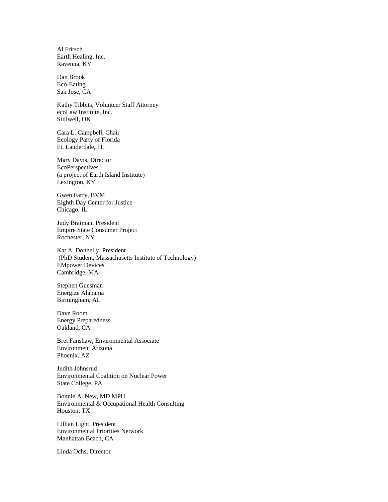Al Fritsch Earth Healing, Inc. Ravenna, KY

Dan Brook Eco-Eating San Jose, CA

Kathy Tibbits, Volunteer Staff Attorney ecoLaw Institute, Inc. Stillwell, OK

Cara L. Campbell, Chair Ecology Party of Florida Ft. Lauderdale, FL

Mary Davis, Director EcoPerspectives (a project of Earth Island Institute) Lexington, KY

Gwen Farry, BVM Eighth Day Center for Justice Chicago, IL

Judy Braiman, President Empire State Consumer Project Rochester, NY

Kat A. Donnelly, President (PhD Student, Massachusetts Institute of Technology) EMpower Devices Cambridge, MA

Stephen Guesman Energize Alabama Birmingham, AL

Dave Room Energy Preparedness Oakland, CA

Bret Fanshaw, Environmental Associate Environment Arizona Phoenix, AZ

Judith Johnsrud Environmental Coalition on Nuclear Power State College, PA

Bonnie A. New, MD MPH Environmental & Occupational Health Consulting Houston, TX

Lillian Light, President Environmental Priorities Network Manhattan Beach, CA

Linda Ochs, Director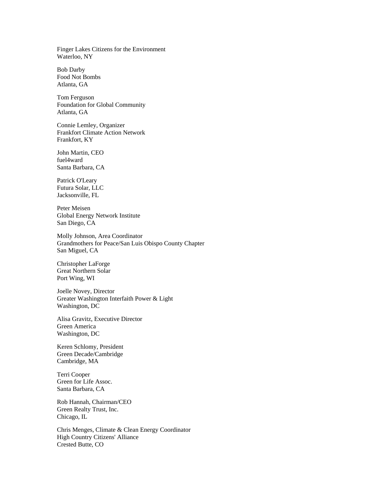Finger Lakes Citizens for the Environment Waterloo, NY

Bob Darby Food Not Bombs Atlanta, GA

Tom Ferguson Foundation for Global Community Atlanta, GA

Connie Lemley, Organizer Frankfort Climate Action Network Frankfort, KY

John Martin, CEO fuel4ward Santa Barbara, CA

Patrick O'Leary Futura Solar, LLC Jacksonville, FL

Peter Meisen Global Energy Network Institute San Diego, CA

Molly Johnson, Area Coordinator Grandmothers for Peace/San Luis Obispo County Chapter San Miguel, CA

Christopher LaForge Great Northern Solar Port Wing, WI

Joelle Novey, Director Greater Washington Interfaith Power & Light Washington, DC

Alisa Gravitz, Executive Director Green America Washington, DC

Keren Schlomy, President Green Decade/Cambridge Cambridge, MA

Terri Cooper Green for Life Assoc. Santa Barbara, CA

Rob Hannah, Chairman/CEO Green Realty Trust, Inc. Chicago, IL

Chris Menges, Climate & Clean Energy Coordinator High Country Citizens' Alliance Crested Butte, CO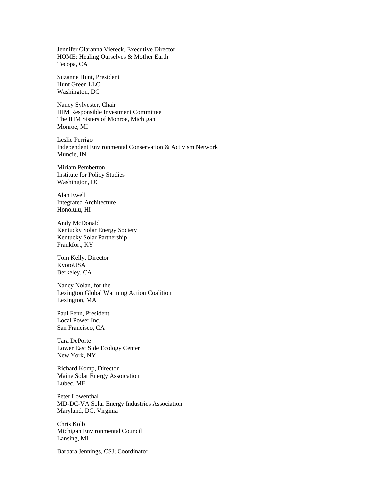Jennifer Olaranna Viereck, Executive Director HOME: Healing Ourselves & Mother Earth Tecopa, CA

Suzanne Hunt, President Hunt Green LLC Washington, DC

Nancy Sylvester, Chair IHM Responsible Investment Committee The IHM Sisters of Monroe, Michigan Monroe, MI

Leslie Perrigo Independent Environmental Conservation & Activism Network Muncie, IN

Miriam Pemberton Institute for Policy Studies Washington, DC

Alan Ewell Integrated Architecture Honolulu, HI

Andy McDonald Kentucky Solar Energy Society Kentucky Solar Partnership Frankfort, KY

Tom Kelly, Director KyotoUSA Berkeley, CA

Nancy Nolan, for the Lexington Global Warming Action Coalition Lexington, MA

Paul Fenn, President Local Power Inc. San Francisco, CA

Tara DePorte Lower East Side Ecology Center New York, NY

Richard Komp, Director Maine Solar Energy Assoication Lubec, ME

Peter Lowenthal MD-DC-VA Solar Energy Industries Association Maryland, DC, Virginia

Chris Kolb Michigan Environmental Council Lansing, MI

Barbara Jennings, CSJ; Coordinator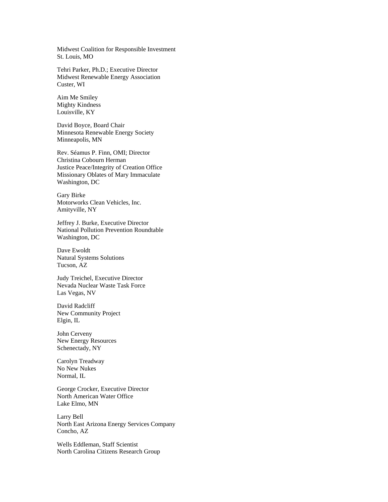Midwest Coalition for Responsible Investment St. Louis, MO

Tehri Parker, Ph.D.; Executive Director Midwest Renewable Energy Association Custer, WI

Aim Me Smiley Mighty Kindness Louisville, KY

David Boyce, Board Chair Minnesota Renewable Energy Society Minneapolis, MN

Rev. Séamus P. Finn, OMI; Director Christina Cobourn Herman Justice Peace/Integrity of Creation Office Missionary Oblates of Mary Immaculate Washington, DC

Gary Birke Motorworks Clean Vehicles, Inc. Amityville, NY

Jeffrey J. Burke, Executive Director National Pollution Prevention Roundtable Washington, DC

Dave Ewoldt Natural Systems Solutions Tucson, AZ

Judy Treichel, Executive Director Nevada Nuclear Waste Task Force Las Vegas, NV

David Radcliff New Community Project Elgin, IL

John Cerveny New Energy Resources Schenectady, NY

Carolyn Treadway No New Nukes Normal, IL

George Crocker, Executive Director North American Water Office Lake Elmo, MN

Larry Bell North East Arizona Energy Services Company Concho, AZ

Wells Eddleman, Staff Scientist North Carolina Citizens Research Group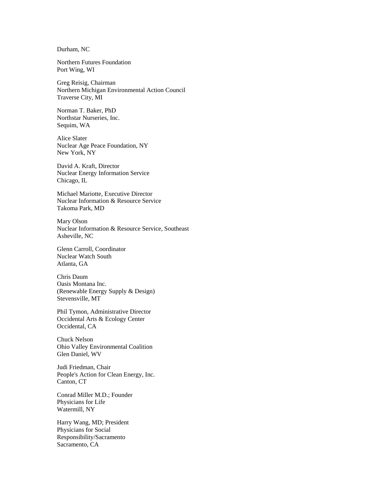Durham, NC

Northern Futures Foundation Port Wing, WI

Greg Reisig, Chairman Northern Michigan Environmental Action Council Traverse City, MI

Norman T. Baker, PhD Northstar Nurseries, Inc. Sequim, WA

Alice Slater Nuclear Age Peace Foundation, NY New York, NY

David A. Kraft, Director Nuclear Energy Information Service Chicago, IL

Michael Mariotte, Executive Director Nuclear Information & Resource Service Takoma Park, MD

Mary Olson Nuclear Information & Resource Service, Southeast Asheville, NC

Glenn Carroll, Coordinator Nuclear Watch South Atlanta, GA

Chris Daum Oasis Montana Inc. (Renewable Energy Supply & Design) Stevensville, MT

Phil Tymon, Administrative Director Occidental Arts & Ecology Center Occidental, CA

Chuck Nelson Ohio Valley Environmental Coalition Glen Daniel, WV

Judi Friedman, Chair People's Action for Clean Energy, Inc. Canton, CT

Conrad Miller M.D.; Founder Physicians for Life Watermill, NY

Harry Wang, MD; President Physicians for Social Responsibility/Sacramento Sacramento, CA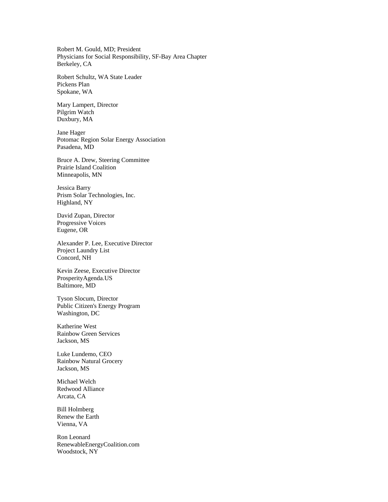Robert M. Gould, MD; President Physicians for Social Responsibility, SF-Bay Area Chapter Berkeley, CA

Robert Schultz, WA State Leader Pickens Plan Spokane, WA

Mary Lampert, Director Pilgrim Watch Duxbury, MA

Jane Hager Potomac Region Solar Energy Association Pasadena, MD

Bruce A. Drew, Steering Committee Prairie Island Coalition Minneapolis, MN

Jessica Barry Prism Solar Technologies, Inc. Highland, NY

David Zupan, Director Progressive Voices Eugene, OR

Alexander P. Lee, Executive Director Project Laundry List Concord, NH

Kevin Zeese, Executive Director ProsperityAgenda.US Baltimore, MD

Tyson Slocum, Director Public Citizen's Energy Program Washington, DC

Katherine West Rainbow Green Services Jackson, MS

Luke Lundemo, CEO Rainbow Natural Grocery Jackson, MS

Michael Welch Redwood Alliance Arcata, CA

Bill Holmberg Renew the Earth Vienna, VA

Ron Leonard RenewableEnergyCoalition.com Woodstock, NY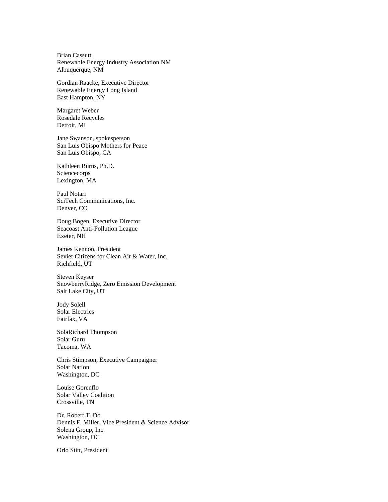Brian Cassutt Renewable Energy Industry Association NM Albuquerque, NM

Gordian Raacke, Executive Director Renewable Energy Long Island East Hampton, NY

Margaret Weber Rosedale Recycles Detroit, MI

Jane Swanson, spokesperson San Luis Obispo Mothers for Peace San Luis Obispo, CA

Kathleen Burns, Ph.D. Sciencecorps Lexington, MA

Paul Notari SciTech Communications, Inc. Denver, CO

Doug Bogen, Executive Director Seacoast Anti-Pollution League Exeter, NH

James Kennon, President Sevier Citizens for Clean Air & Water, Inc. Richfield, UT

Steven Keyser SnowberryRidge, Zero Emission Development Salt Lake City, UT

Jody Solell Solar Electrics Fairfax, VA

SolaRichard Thompson Solar Guru Tacoma, WA

Chris Stimpson, Executive Campaigner Solar Nation Washington, DC

Louise Gorenflo Solar Valley Coalition Crossville, TN

Dr. Robert T. Do Dennis F. Miller, Vice President & Science Advisor Solena Group, Inc. Washington, DC

Orlo Stitt, President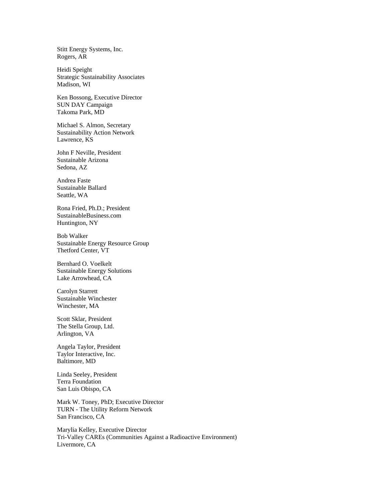Stitt Energy Systems, Inc. Rogers, AR

Heidi Speight Strategic Sustainability Associates Madison, WI

Ken Bossong, Executive Director SUN DAY Campaign Takoma Park, MD

Michael S. Almon, Secretary Sustainability Action Network Lawrence, KS

John F Neville, President Sustainable Arizona Sedona, AZ

Andrea Faste Sustainable Ballard Seattle, WA

Rona Fried, Ph.D.; President SustainableBusiness.com Huntington, NY

Bob Walker Sustainable Energy Resource Group Thetford Center, VT

Bernhard O. Voelkelt Sustainable Energy Solutions Lake Arrowhead, CA

Carolyn Starrett Sustainable Winchester Winchester, MA

Scott Sklar, President The Stella Group, Ltd. Arlington, VA

Angela Taylor, President Taylor Interactive, Inc. Baltimore, MD

Linda Seeley, President Terra Foundation San Luis Obispo, CA

Mark W. Toney, PhD; Executive Director TURN - The Utility Reform Network San Francisco, CA

Marylia Kelley, Executive Director Tri-Valley CAREs (Communities Against a Radioactive Environment) Livermore, CA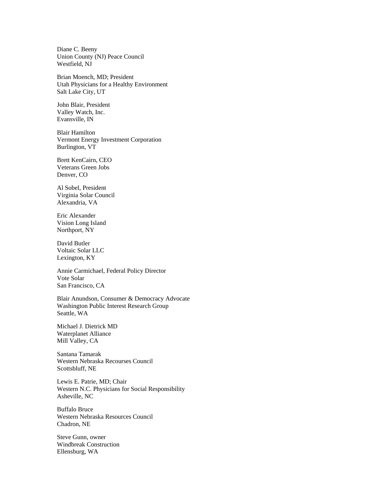Diane C. Beeny Union County (NJ) Peace Council Westfield, NJ

Brian Moench, MD; President Utah Physicians for a Healthy Environment Salt Lake City, UT

John Blair, President Valley Watch, Inc. Evansville, IN

Blair Hamilton Vermont Energy Investment Corporation Burlington, VT

Brett KenCairn, CEO Veterans Green Jobs Denver, CO

Al Sobel, President Virginia Solar Council Alexandria, VA

Eric Alexander Vision Long Island Northport, NY

David Butler Voltaic Solar LLC Lexington, KY

Annie Carmichael, Federal Policy Director Vote Solar San Francisco, CA

Blair Anundson, Consumer & Democracy Advocate Washington Public Interest Research Group Seattle, WA

Michael J. Dietrick MD Waterplanet Alliance Mill Valley, CA

Santana Tamarak Western Nebraska Recourses Council Scottsbluff, NE

Lewis E. Patrie, MD; Chair Western N.C. Physicians for Social Responsibility Asheville, NC

Buffalo Bruce Western Nebraska Resources Council Chadron, NE

Steve Gunn, owner Windbreak Construction Ellensburg, WA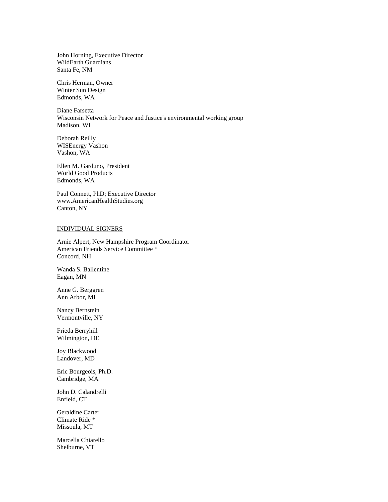John Horning, Executive Director WildEarth Guardians Santa Fe, NM

Chris Herman, Owner Winter Sun Design Edmonds, WA

Diane Farsetta Wisconsin Network for Peace and Justice's environmental working group Madison, WI

Deborah Reilly WISEnergy Vashon Vashon, WA

Ellen M. Garduno, President World Good Products Edmonds, WA

Paul Connett, PhD; Executive Director www.AmericanHealthStudies.org Canton, NY

## INDIVIDUAL SIGNERS

Arnie Alpert, New Hampshire Program Coordinator American Friends Service Committee \* Concord, NH

Wanda S. Ballentine Eagan, MN

Anne G. Berggren Ann Arbor, MI

Nancy Bernstein Vermontville, NY

Frieda Berryhill Wilmington, DE

Joy Blackwood Landover, MD

Eric Bourgeois, Ph.D. Cambridge, MA

John D. Calandrelli Enfield, CT

Geraldine Carter Climate Ride \* Missoula, MT

Marcella Chiarello Shelburne, VT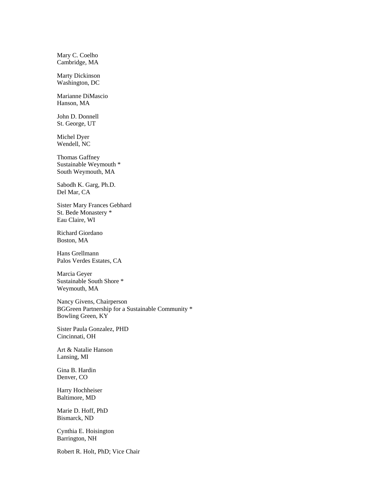Mary C. Coelho Cambridge, MA

Marty Dickinson Washington, DC

Marianne DiMascio Hanson, MA

John D. Donnell St. George, UT

Michel Dyer Wendell, NC

Thomas Gaffney Sustainable Weymouth \* South Weymouth, MA

Sabodh K. Garg, Ph.D. Del Mar, CA

Sister Mary Frances Gebhard St. Bede Monastery \* Eau Claire, WI

Richard Giordano Boston, MA

Hans Grellmann Palos Verdes Estates, CA

Marcia Geyer Sustainable South Shore \* Weymouth, MA

Nancy Givens, Chairperson BGGreen Partnership for a Sustainable Community \* Bowling Green, KY

Sister Paula Gonzalez, PHD Cincinnati, OH

Art & Natalie Hanson Lansing, MI

Gina B. Hardin Denver, CO

Harry Hochheiser Baltimore, MD

Marie D. Hoff, PhD Bismarck, ND

Cynthia E. Hoisington Barrington, NH

Robert R. Holt, PhD; Vice Chair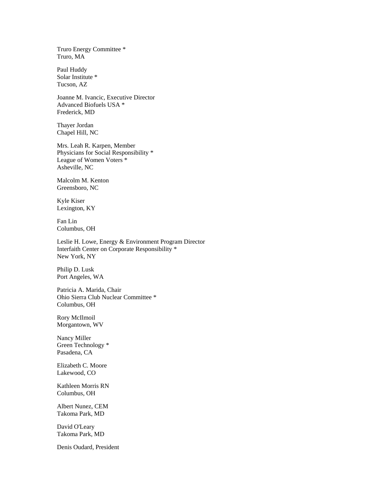Truro Energy Committee \* Truro, MA

Paul Huddy Solar Institute \* Tucson, AZ

Joanne M. Ivancic, Executive Director Advanced Biofuels USA \* Frederick, MD

Thayer Jordan Chapel Hill, NC

Mrs. Leah R. Karpen, Member Physicians for Social Responsibility \* League of Women Voters \* Asheville, NC

Malcolm M. Kenton Greensboro, NC

Kyle Kiser Lexington, KY

Fan Lin Columbus, OH

Leslie H. Lowe, Energy & Environment Program Director Interfaith Center on Corporate Responsibility \* New York, NY

Philip D. Lusk Port Angeles, WA

Patricia A. Marida, Chair Ohio Sierra Club Nuclear Committee \* Columbus, OH

Rory McIlmoil Morgantown, WV

Nancy Miller Green Technology \* Pasadena, CA

Elizabeth C. Moore Lakewood, CO

Kathleen Morris RN Columbus, OH

Albert Nunez, CEM Takoma Park, MD

David O'Leary Takoma Park, MD

Denis Oudard, President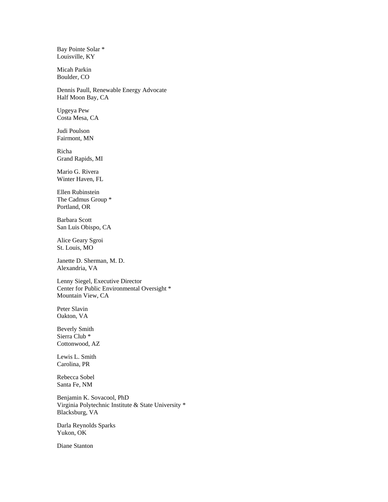Bay Pointe Solar \* Louisville, KY

Micah Parkin Boulder, CO

Dennis Paull, Renewable Energy Advocate Half Moon Bay, CA

Upgeya Pew Costa Mesa, CA

Judi Poulson Fairmont, MN

Richa Grand Rapids, MI

Mario G. Rivera Winter Haven, FL

Ellen Rubinstein The Cadmus Group \* Portland, OR

Barbara Scott San Luis Obispo, CA

Alice Geary Sgroi St. Louis, MO

Janette D. Sherman, M. D. Alexandria, VA

Lenny Siegel, Executive Director Center for Public Environmental Oversight \* Mountain View, CA

Peter Slavin Oakton, VA

Beverly Smith Sierra Club \* Cottonwood, AZ

Lewis L. Smith Carolina, PR

Rebecca Sobel Santa Fe, NM

Benjamin K. Sovacool, PhD Virginia Polytechnic Institute & State University \* Blacksburg, VA

Darla Reynolds Sparks Yukon, OK

Diane Stanton